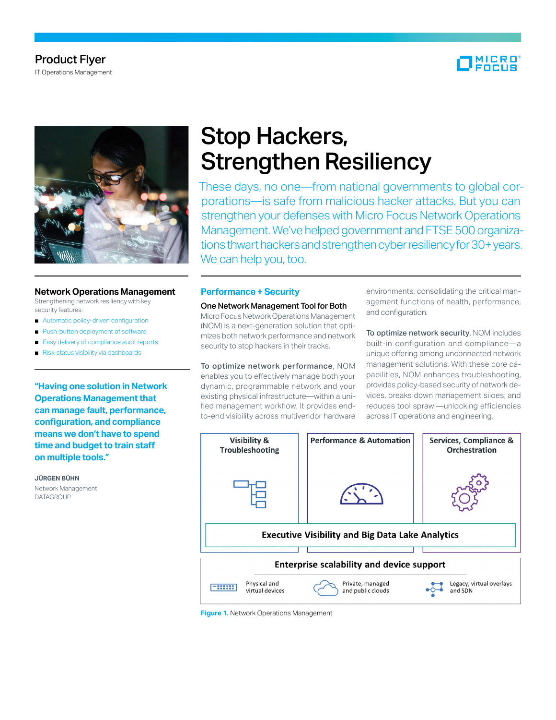# Product Flyer

IT Operations Management





#### **Network Operations Management**

Strengthening network resiliency with key security features:

- Automatic policy-driven configuration
- Push-button deployment of software
- Easy delivery of compliance audit reports
- Risk-status visibility via dashboards

**"Having one solution in Network Operations Management that can manage fault, performance, configuration, and compliance means we don't have to spend time and budget to train staff on multiple tools."**

**JÜRGEN BÜHN** Network Management DATAGROUP

# Stop Hackers, Strengthen Resiliency

These days, no one—from national governments to global corporations—is safe from malicious hacker attacks. But you can strengthen your defenses with Micro Focus Network Operations Management. We've helped government and FTSE 500 organizations thwart hackers and strengthen cyber resiliency for 30+ years. We can help you, too.

### **Performance + Security**

#### One Network Management Tool for Both

Micro Focus Network Operations Management (NOM) is a next-generation solution that optimizes both network performance and network security to stop hackers in their tracks.

To optimize network performance, NOM enables you to effectively manage both your dynamic, programmable network and your existing physical infrastructure—within a unified management workflow. It provides endto-end visibility across multivendor hardware

environments, consolidating the critical management functions of health, performance, and configuration.

To optimize network security, NOM includes built-in configuration and compliance—a unique offering among unconnected network management solutions. With these core capabilities, NOM enhances troubleshooting, provides policy-based security of network devices, breaks down management siloes, and reduces tool sprawl—unlocking efficiencies across IT operations and engineering.



**Figure 1.** Network Operations Management